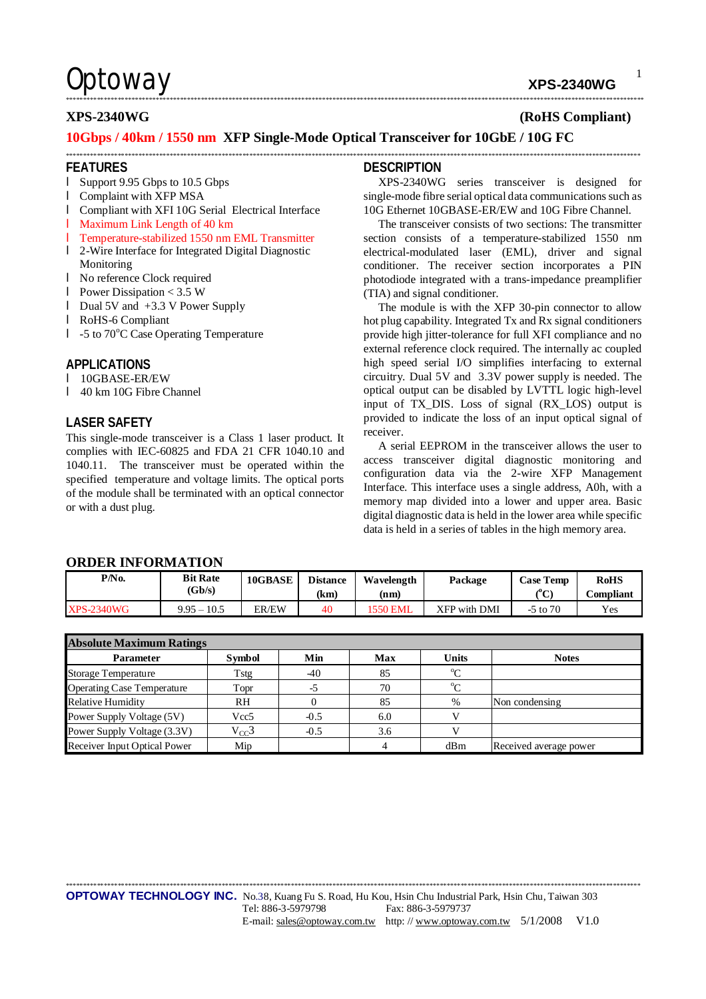# **Optoway** xps-2340wg

1

**XPS-2340WG (RoHS Compliant)** 

### **10Gbps / 40km / 1550 nm XFP Single-Mode Optical Transceiver for 10GbE / 10G FC**

#### **FEATURES**

- l Support 9.95 Gbps to 10.5 Gbps
- l Complaint with XFP MSA
- l Compliant with XFI 10G Serial Electrical Interface
- l Maximum Link Length of 40 km
- l Temperature-stabilized 1550 nm EML Transmitter
- l 2-Wire Interface for Integrated Digital Diagnostic Monitoring
- l No reference Clock required
- l Power Dissipation < 3.5 W
- l Dual 5V and +3.3 V Power Supply
- l RoHS-6 Compliant
- l -5 to 70°C Case Operating Temperature

#### **APPLICATIONS**

- l 10GBASE-ER/EW
- l 40 km 10G Fibre Channel

#### **LASER SAFETY**

This single-mode transceiver is a Class 1 laser product. It complies with IEC-60825 and FDA 21 CFR 1040.10 and 1040.11. The transceiver must be operated within the specified temperature and voltage limits. The optical ports of the module shall be terminated with an optical connector or with a dust plug.

#### **DESCRIPTION**

\*\*\*\*\*\*\*\*\*\*\*\*\*\*\*\*\*\*\*\*\*\*\*\*\*\*\*\*\*\*\*\*\*\*\*\*\*\*\*\*\*\*\*\*\*\*\*\*\*\*\*\*\*\*\*\*\*\*\*\*\*\*\*\*\*\*\*\*\*\*\*\*\*\*\*\*\*\*\*\*\*\*\*\*\*\*\*\*\*\*\*\*\*\*\*\*\*\*\*\*\*\*\*\*\*\*\*\*\*\*\*\*\*\*\*\*\*\*\*\*\*\*\*\*\*\*\*\*\*\*\*\*\*\*\*\*\*\*\*\*\*\*\*\*\*\*\*\*\*\*\*\*\*\*\*\*\*\*\*\*\*\*\*\*\*\*\*

\*\*\*\*\*\*\*\*\*\*\*\*\*\*\*\*\*\*\*\*\*\*\*\*\*\*\*\*\*\*\*\*\*\*\*\*\*\*\*\*\*\*\*\*\*\*\*\*\*\*\*\*\*\*\*\*\*\*\*\*\*\*\*\*\*\*\*\*\*\*\*\*\*\*\*\*\*\*\*\*\*\*\*\*\*\*\*\*\*\*\*\*\*\*\*\*\*\*\*\*\*\*\*\*\*\*\*\*\*\*\*\*\*\*\*\*\*\*\*\*\*\*\*\*\*\*\*\*\*\*\*\*\*\*\*\*\*\*\*\*\*\*\*\*\*\*\*\*\*\*\*\*\*\*\*\*\*\*\*\*\*\*\*\*\*\*

XPS-2340WG series transceiver is designed for single-mode fibre serial optical data communications such as 10G Ethernet 10GBASE-ER/EW and 10G Fibre Channel.

The transceiver consists of two sections: The transmitter section consists of a temperature-stabilized 1550 nm electrical-modulated laser (EML), driver and signal conditioner. The receiver section incorporates a PIN photodiode integrated with a trans-impedance preamplifier (TIA) and signal conditioner.

The module is with the XFP 30-pin connector to allow hot plug capability. Integrated Tx and Rx signal conditioners provide high jitter-tolerance for full XFI compliance and no external reference clock required. The internally ac coupled high speed serial I/O simplifies interfacing to external circuitry. Dual 5V and 3.3V power supply is needed. The optical output can be disabled by LVTTL logic high-level input of TX\_DIS. Loss of signal (RX\_LOS) output is provided to indicate the loss of an input optical signal of receiver.

A serial EEPROM in the transceiver allows the user to access transceiver digital diagnostic monitoring and configuration data via the 2-wire XFP Management Interface. This interface uses a single address, A0h, with a memory map divided into a lower and upper area. Basic digital diagnostic data is held in the lower area while specific data is held in a series of tables in the high memory area.

#### **ORDER INFORMATION**

| P/N <sub>0</sub>  | <b>Bit Rate</b> | 10GBASE | <b>Distance</b> | Wavelength      | Package      | <b>Case Temp</b> | <b>RoHS</b> |  |  |
|-------------------|-----------------|---------|-----------------|-----------------|--------------|------------------|-------------|--|--|
|                   | (Gb/s)          |         | (km)            | (nm)            |              | ԹՐ<br>◡          | Compliant   |  |  |
| <b>XPS-2340WG</b> | $9.95 - 10.5$   | ER/EW   | 40              | <b>'550 EML</b> | XFP with DMI | $-5$ to $70$     | Yes         |  |  |

| <b>Absolute Maximum Ratings</b>   |                  |        |     |              |                        |  |  |
|-----------------------------------|------------------|--------|-----|--------------|------------------------|--|--|
| <b>Parameter</b>                  | <b>Symbol</b>    | Min    | Max | <b>Units</b> | <b>Notes</b>           |  |  |
| <b>Storage Temperature</b>        | Tstg             | -40    | 85  | $\rm ^{o}C$  |                        |  |  |
| <b>Operating Case Temperature</b> | Topr             | $-5$   | 70  | $^{\circ}C$  |                        |  |  |
| <b>Relative Humidity</b>          | RH               |        | 85  | $\%$         | Non condensing         |  |  |
| Power Supply Voltage (5V)         | Vcc <sub>5</sub> | $-0.5$ | 6.0 |              |                        |  |  |
| Power Supply Voltage (3.3V)       | $V_{CC}$ 3       | $-0.5$ | 3.6 |              |                        |  |  |
| Receiver Input Optical Power      | Mip              |        |     | dBm          | Received average power |  |  |

\*\*\*\*\*\*\*\*\*\*\*\*\*\*\*\*\*\*\*\*\*\*\*\*\*\*\*\*\*\*\*\*\*\*\*\*\*\*\*\*\*\*\*\*\*\*\*\*\*\*\*\*\*\*\*\*\*\*\*\*\*\*\*\*\*\*\*\*\*\*\*\*\*\*\*\*\*\*\*\*\*\*\*\*\*\*\*\*\*\*\*\*\*\*\*\*\*\*\*\*\*\*\*\*\*\*\*\*\*\*\*\*\*\*\*\*\*\*\*\*\*\*\*\*\*\*\*\*\*\*\*\*\*\*\*\*\*\*\*\*\*\*\*\*\*\*\*\*\*\*\*\*\*\*\*\*\*\*\*\*\*\*\*\*\*\*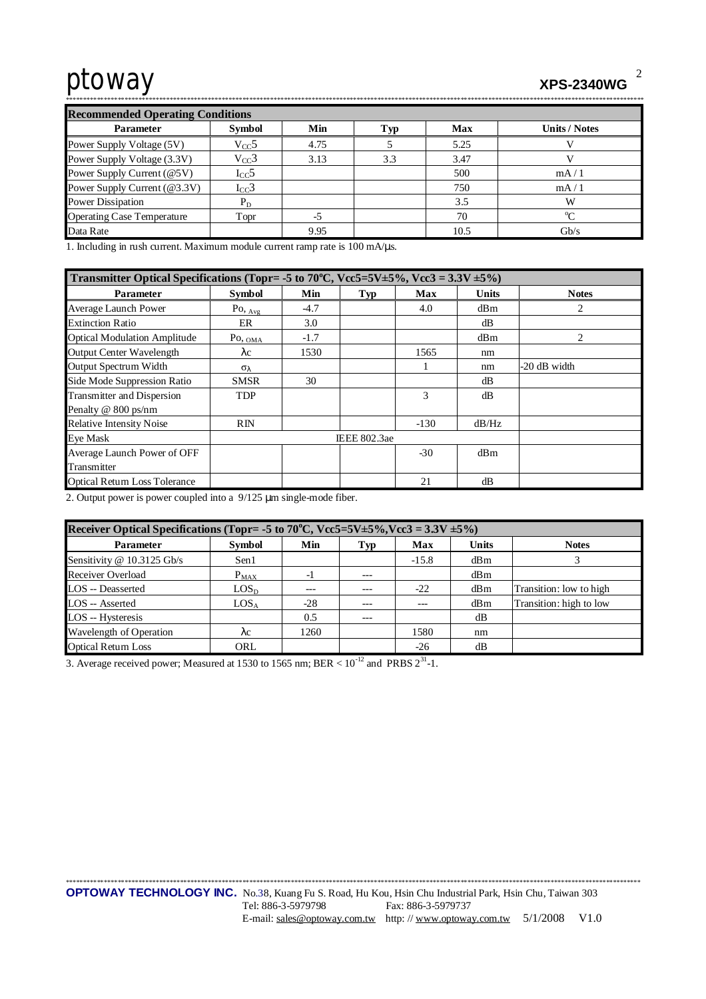| <b>Recommended Operating Conditions</b> |               |      |     |            |                      |  |  |  |
|-----------------------------------------|---------------|------|-----|------------|----------------------|--|--|--|
| <b>Parameter</b>                        | <b>Symbol</b> | Min  | Гyр | <b>Max</b> | <b>Units / Notes</b> |  |  |  |
| Power Supply Voltage (5V)               | $V_{CC}$ 5    | 4.75 |     | 5.25       |                      |  |  |  |
| Power Supply Voltage (3.3V)             | $V_{CC}$ 3    | 3.13 | 3.3 | 3.47       |                      |  |  |  |
| Power Supply Current (@5V)              | $I_{CC}$ 5    |      |     | 500        | mA/1                 |  |  |  |
| Power Supply Current (@3.3V)            | $I_{CC}$ 3    |      |     | 750        | mA/1                 |  |  |  |
| <b>Power Dissipation</b>                | $P_D$         |      |     | 3.5        | w                    |  |  |  |
| <b>Operating Case Temperature</b>       | Topr          | -5   |     | 70         | $\sim$               |  |  |  |
| Data Rate                               |               | 9.95 |     | 10.5       | Gh/s                 |  |  |  |

1. Including in rush current. Maximum module current ramp rate is 100 mA/us.

| Transmitter Optical Specifications (Topr= -5 to 70°C, Vcc5=5V±5%, Vcc3 = $3.3V \pm 5\%$ ) |                     |        |     |        |              |                |  |
|-------------------------------------------------------------------------------------------|---------------------|--------|-----|--------|--------------|----------------|--|
| <b>Parameter</b>                                                                          | <b>Symbol</b>       | Min    | Typ | Max    | <b>Units</b> | <b>Notes</b>   |  |
| Average Launch Power                                                                      | Po, $_{\text{Avg}}$ | $-4.7$ |     | 4.0    | dBm          | $\overline{c}$ |  |
| <b>Extinction Ratio</b>                                                                   | ER                  | 3.0    |     |        | dB           |                |  |
| <b>Optical Modulation Amplitude</b>                                                       | $P_{\text{O, OMA}}$ | $-1.7$ |     |        | dBm          | 2              |  |
| <b>Output Center Wavelength</b>                                                           | $\lambda c$         | 1530   |     | 1565   | nm           |                |  |
| Output Spectrum Width                                                                     | $\sigma_{\lambda}$  |        |     |        | nm           | -20 dB width   |  |
| Side Mode Suppression Ratio                                                               | <b>SMSR</b>         | 30     |     |        | dB           |                |  |
| <b>Transmitter and Dispersion</b><br>Penalty @ 800 ps/nm                                  | <b>TDP</b>          |        |     | 3      | dB           |                |  |
| <b>Relative Intensity Noise</b>                                                           | RIN                 |        |     | $-130$ | dB/Hz        |                |  |
| Eye Mask                                                                                  | <b>IEEE 802.3ae</b> |        |     |        |              |                |  |
| Average Launch Power of OFF<br>Transmitter                                                |                     |        |     | $-30$  | dBm          |                |  |
| <b>Optical Return Loss Tolerance</b>                                                      |                     |        |     | 21     | dB           |                |  |

2. Output power is power coupled into a  $9/125$  µm single-mode fiber.

| Receiver Optical Specifications (Topr= -5 to 70°C, Vcc5=5V±5%, Vcc3 = $3.3V \pm 5\%$ ) |                  |       |     |         |              |                         |  |  |
|----------------------------------------------------------------------------------------|------------------|-------|-----|---------|--------------|-------------------------|--|--|
| <b>Parameter</b>                                                                       | <b>Symbol</b>    | Min   | Typ | Max     | <b>Units</b> | <b>Notes</b>            |  |  |
| Sensitivity @ 10.3125 Gb/s                                                             | Sen1             |       |     | $-15.8$ | dBm          |                         |  |  |
| Receiver Overload                                                                      | $P_{MAX}$        | - 1   |     |         | dBm          |                         |  |  |
| <b>LOS</b> -- Deasserted                                                               | LOS <sub>D</sub> |       |     | $-22$   | dBm          | Transition: low to high |  |  |
| LOS -- Asserted                                                                        | LOS <sub>A</sub> | $-28$ |     | ---     | dBm          | Transition: high to low |  |  |
| LOS -- Hysteresis                                                                      |                  | 0.5   | --- |         | dB           |                         |  |  |
| Wavelength of Operation                                                                | λc               | 1260  |     | 1580    | nm           |                         |  |  |
| <b>Optical Return Loss</b>                                                             | ORL              |       |     | $-26$   | dВ           |                         |  |  |

3. Average received power; Measured at 1530 to 1565 nm; BER <  $10^{-12}$  and PRBS  $2^{31}$ -1.

 $\overline{2}$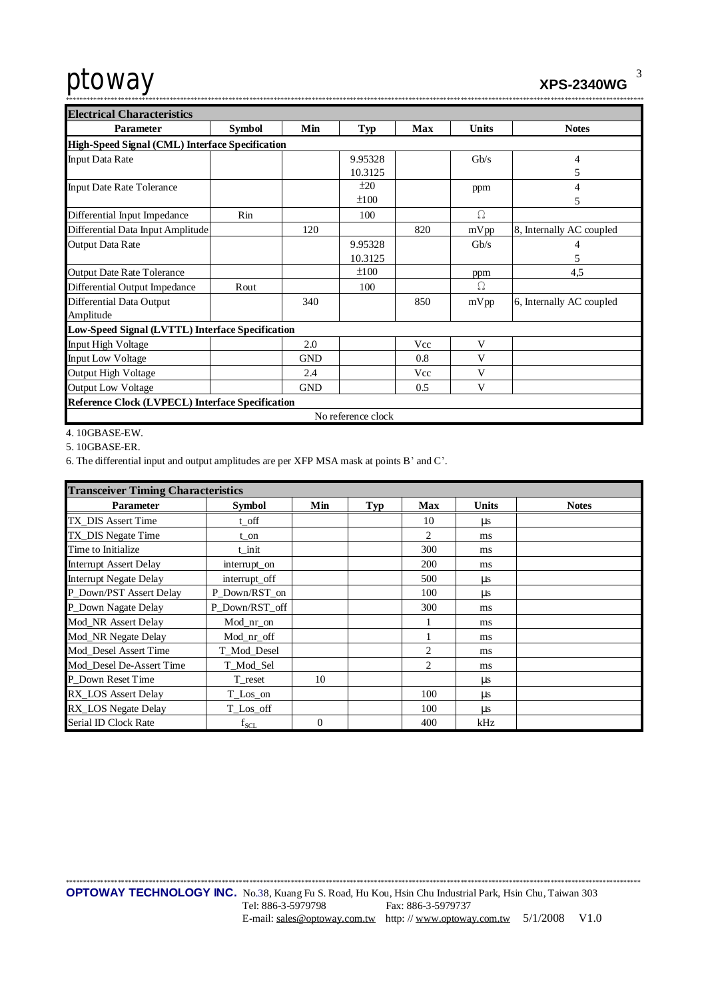**XPS-2340WG** 

| $\ldots$ $\bullet$ $\bullet$ $\bullet$ $\bullet$ $\bullet$ $\bullet$ |
|----------------------------------------------------------------------|
|                                                                      |
|                                                                      |

| <b>Electrical Characteristics</b>                       |                                                 |            |                    |     |              |                          |  |  |  |  |
|---------------------------------------------------------|-------------------------------------------------|------------|--------------------|-----|--------------|--------------------------|--|--|--|--|
| <b>Parameter</b>                                        | <b>Symbol</b>                                   | Min        | Typ                | Max | <b>Units</b> | <b>Notes</b>             |  |  |  |  |
|                                                         | High-Speed Signal (CML) Interface Specification |            |                    |     |              |                          |  |  |  |  |
| <b>Input Data Rate</b>                                  |                                                 |            | 9.95328            |     | Gb/s         | 4                        |  |  |  |  |
|                                                         |                                                 |            | 10.3125            |     |              | 5                        |  |  |  |  |
| <b>Input Date Rate Tolerance</b>                        |                                                 |            | ±20                |     | ppm          | 4                        |  |  |  |  |
|                                                         |                                                 |            | ±100               |     |              | 5                        |  |  |  |  |
| Differential Input Impedance                            | Rin                                             |            | 100                |     | Ω            |                          |  |  |  |  |
| Differential Data Input Amplitude                       |                                                 | 120        |                    | 820 | mVpp         | 8, Internally AC coupled |  |  |  |  |
| Output Data Rate                                        |                                                 |            | 9.95328            |     | Gb/s         | 4                        |  |  |  |  |
|                                                         |                                                 |            | 10.3125            |     |              | 5                        |  |  |  |  |
| <b>Output Date Rate Tolerance</b>                       |                                                 |            | ±100               |     | ppm          | 4,5                      |  |  |  |  |
| Differential Output Impedance                           | Rout                                            |            | 100                |     | Ω            |                          |  |  |  |  |
| Differential Data Output                                |                                                 | 340        |                    | 850 | mVpp         | 6, Internally AC coupled |  |  |  |  |
| Amplitude                                               |                                                 |            |                    |     |              |                          |  |  |  |  |
| Low-Speed Signal (LVTTL) Interface Specification        |                                                 |            |                    |     |              |                          |  |  |  |  |
| Input High Voltage                                      |                                                 | 2.0        |                    | Vcc | V            |                          |  |  |  |  |
| <b>Input Low Voltage</b>                                |                                                 | <b>GND</b> |                    | 0.8 | V            |                          |  |  |  |  |
| Output High Voltage                                     |                                                 | 2.4        |                    | Vcc | V            |                          |  |  |  |  |
| <b>Output Low Voltage</b>                               |                                                 | <b>GND</b> |                    | 0.5 | V            |                          |  |  |  |  |
| <b>Reference Clock (LVPECL) Interface Specification</b> |                                                 |            |                    |     |              |                          |  |  |  |  |
|                                                         |                                                 |            | No reference clock |     |              |                          |  |  |  |  |

4.10GBASE-EW.

5.10GBASE-ER.

6. The differential input and output amplitudes are per XFP MSA mask at points B' and C'.

| <b>Transceiver Timing Characteristics</b> |                |          |            |            |              |              |  |  |
|-------------------------------------------|----------------|----------|------------|------------|--------------|--------------|--|--|
| <b>Parameter</b>                          | <b>Symbol</b>  | Min      | <b>Typ</b> | <b>Max</b> | <b>Units</b> | <b>Notes</b> |  |  |
| TX DIS Assert Time                        | t off          |          |            | 10         | us           |              |  |  |
| TX_DIS Negate Time                        | t_on           |          |            | 2          | ms           |              |  |  |
| Time to Initialize                        | t init         |          |            | 300        | ms           |              |  |  |
| <b>Interrupt Assert Delay</b>             | interrupt_on   |          |            | 200        | ms           |              |  |  |
| <b>Interrupt Negate Delay</b>             | interrupt_off  |          |            | 500        | $\mu$ s      |              |  |  |
| P_Down/PST Assert Delay                   | P_Down/RST_on  |          |            | 100        | μs           |              |  |  |
| P_Down Nagate Delay                       | P_Down/RST_off |          |            | 300        | ms           |              |  |  |
| Mod_NR Assert Delay                       | Mod_nr_on      |          |            |            | ms           |              |  |  |
| Mod_NR Negate Delay                       | Mod nr off     |          |            |            | ms           |              |  |  |
| Mod Desel Assert Time                     | T_Mod_Desel    |          |            | 2          | ms           |              |  |  |
| Mod Desel De-Assert Time                  | T_Mod_Sel      |          |            | 2          | ms           |              |  |  |
| P Down Reset Time                         | T reset        | 10       |            |            | μs           |              |  |  |
| <b>RX LOS Assert Delay</b>                | T_Los_on       |          |            | 100        | μs           |              |  |  |
| RX_LOS Negate Delay                       | T_Los_off      |          |            | 100        | μs           |              |  |  |
| Serial ID Clock Rate                      | $f_{\rm SCL}$  | $\theta$ |            | 400        | kHz          |              |  |  |

 $\mathfrak{Z}$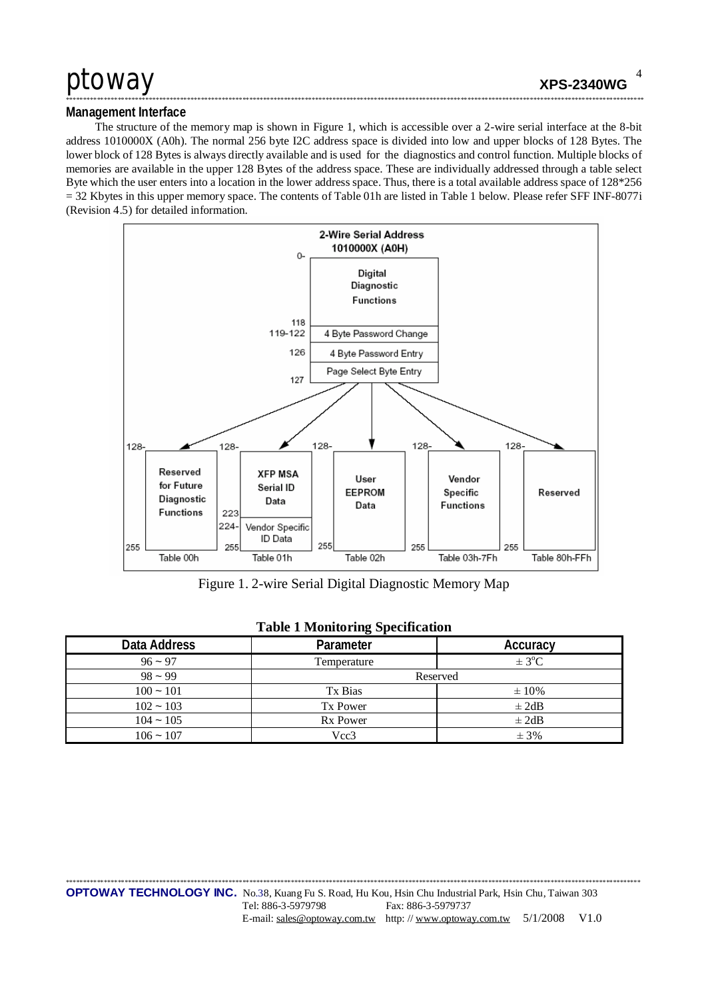### Management Interface

The structure of the memory map is shown in Figure 1, which is accessible over a 2-wire serial interface at the 8-bit address 1010000X (A0h). The normal 256 byte I2C address space is divided into low and upper blocks of 128 Bytes. The lower block of 128 Bytes is always directly available and is used for the diagnostics and control function. Multiple blocks of memories are available in the upper 128 Bytes of the address space. These are individually addressed through a table select Byte which the user enters into a location in the lower address space. Thus, there is a total available address space of 128\*256  $=$  32 Kbytes in this upper memory space. The contents of Table 01h are listed in Table 1 below. Please refer SFF INF-8077i (Revision 4.5) for detailed information.



Figure 1. 2-wire Serial Digital Diagnostic Memory Map

|              | 1.4011          |                        |
|--------------|-----------------|------------------------|
| Data Address | Parameter       | Accuracy               |
| $96 - 97$    | Temperature     | $\pm$ 3 <sup>o</sup> C |
| $98 - 99$    | Reserved        |                        |
| $100 - 101$  | Tx Bias         | $\pm 10\%$             |
| $102 - 103$  | Tx Power        | $\pm 2dB$              |
| $104 - 105$  | <b>Rx Power</b> | $\pm 2dB$              |
| $106 - 107$  | Vcc3            | $\pm$ 3%               |

#### **Table 1 Monitoring Specification**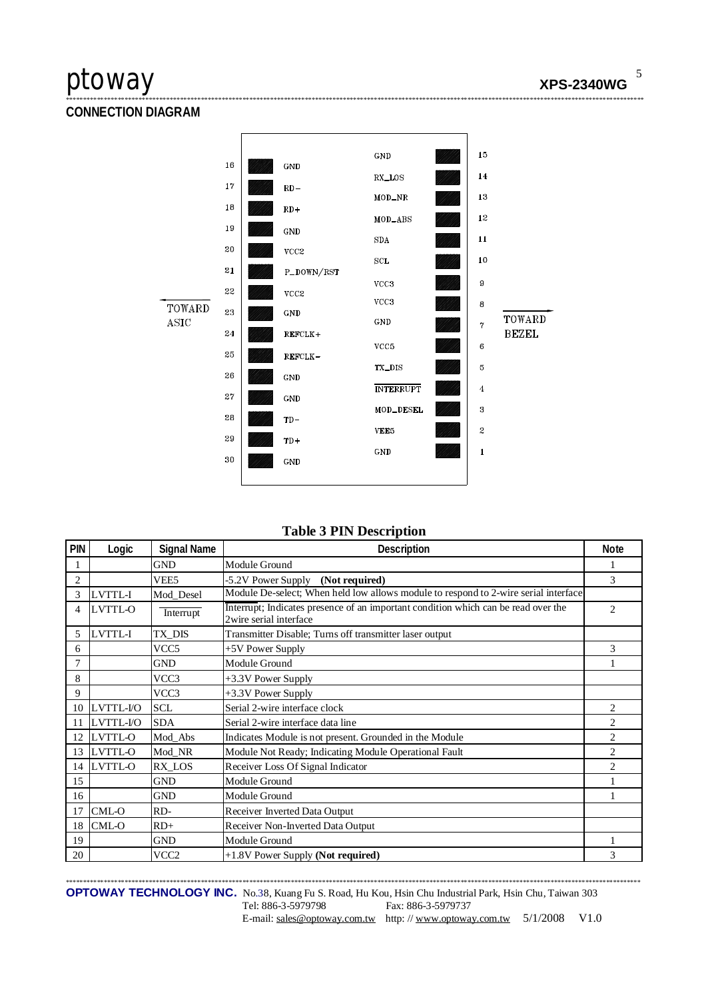### **CONNECTION DIAGRAM**



### **Table 3 PIN Description**

| PIN            | Logic     | <b>Signal Name</b> | Description                                                                                                  | <b>Note</b>    |
|----------------|-----------|--------------------|--------------------------------------------------------------------------------------------------------------|----------------|
|                |           | <b>GND</b>         | Module Ground                                                                                                |                |
| $\overline{c}$ |           | VEE <sub>5</sub>   | -5.2V Power Supply (Not required)                                                                            | 3              |
| 3              | LVTTL-I   | Mod Desel          | Module De-select; When held low allows module to respond to 2-wire serial interface                          |                |
| 4              | LVTTL-O   | Interrupt          | Interrupt; Indicates presence of an important condition which can be read over the<br>2wire serial interface | $\overline{c}$ |
| 5              | LVTTL-I   | TX DIS             | Transmitter Disable; Turns off transmitter laser output                                                      |                |
| 6              |           | VCC <sub>5</sub>   | +5V Power Supply                                                                                             | 3              |
| $\overline{7}$ |           | <b>GND</b>         | Module Ground                                                                                                |                |
| 8              |           | VCC3               | +3.3V Power Supply                                                                                           |                |
| 9              |           | VCC3               | +3.3V Power Supply                                                                                           |                |
| 10             | LVTTL-I/O | <b>SCL</b>         | Serial 2-wire interface clock                                                                                | 2              |
| 11             | LVTTL-I/O | <b>SDA</b>         | Serial 2-wire interface data line                                                                            | $\overline{c}$ |
| 12             | LVTTL-O   | Mod_Abs            | Indicates Module is not present. Grounded in the Module                                                      | $\overline{2}$ |
| 13             | LVTTL-O   | Mod_NR             | Module Not Ready; Indicating Module Operational Fault                                                        | $\overline{2}$ |
| 14             | LVTTL-O   | RX LOS             | Receiver Loss Of Signal Indicator                                                                            | $\overline{c}$ |
| 15             |           | <b>GND</b>         | Module Ground                                                                                                |                |
| 16             |           | <b>GND</b>         | Module Ground                                                                                                |                |
| 17             | CML-O     | RD-                | Receiver Inverted Data Output                                                                                |                |
| 18             | CML-O     | $RD+$              | Receiver Non-Inverted Data Output                                                                            |                |
| 19             |           | <b>GND</b>         | Module Ground                                                                                                |                |
| 20             |           | VCC2               | +1.8V Power Supply (Not required)                                                                            | 3              |

OPTOWAY TECHNOLOGY INC. No.38, Kuang Fu S. Road, Hu Kou, Hsin Chu Industrial Park, Hsin Chu, Taiwan 303 Tel: 886-3-5979798 Fax: 886-3-5979737 E-mail: sales@optoway.com.tw http://www.optoway.com.tw 5/1/2008 V1.0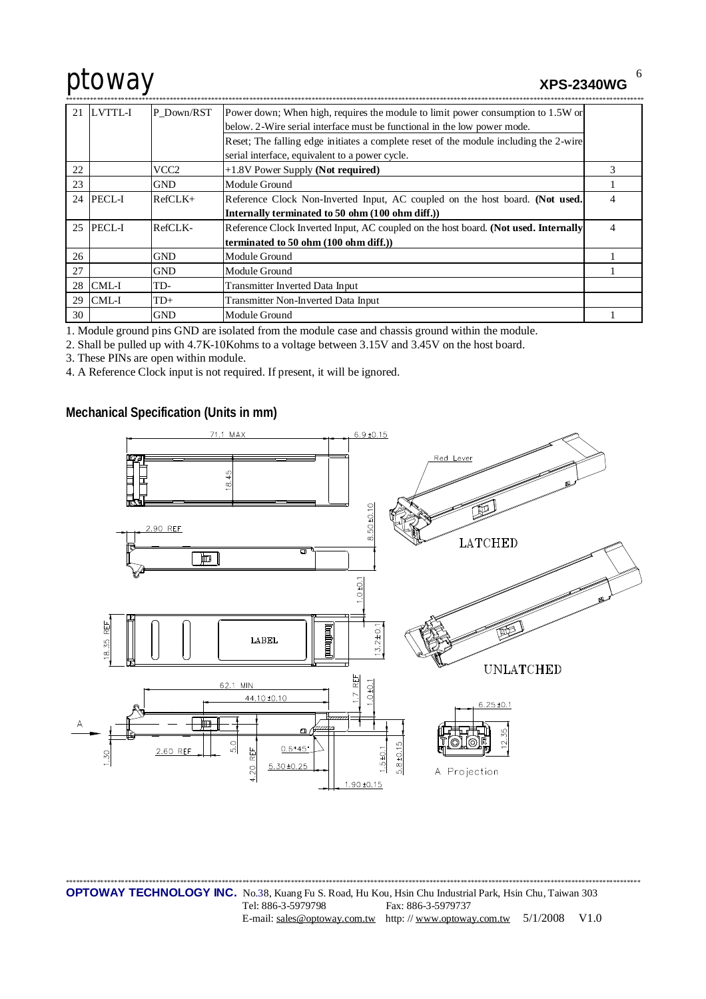**XPS-2340WG** 

6

| 21 | LVTTL-I       | P Down/RST | Power down; When high, requires the module to limit power consumption to 1.5W or      |                |
|----|---------------|------------|---------------------------------------------------------------------------------------|----------------|
|    |               |            | below. 2-Wire serial interface must be functional in the low power mode.              |                |
|    |               |            | Reset; The falling edge initiates a complete reset of the module including the 2-wire |                |
|    |               |            | serial interface, equivalent to a power cycle.                                        |                |
| 22 |               | VCC2       | $+1.8V$ Power Supply (Not required)                                                   | 3              |
| 23 |               | <b>GND</b> | Module Ground                                                                         |                |
| 24 | <b>PECL-I</b> | $RefCLK+$  | Reference Clock Non-Inverted Input, AC coupled on the host board. (Not used.          | 4              |
|    |               |            | Internally terminated to 50 ohm (100 ohm diff.))                                      |                |
|    | 25 PECL-I     | RefCLK-    | Reference Clock Inverted Input, AC coupled on the host board. (Not used. Internally   | $\overline{4}$ |
|    |               |            | terminated to 50 ohm (100 ohm diff.))                                                 |                |
| 26 |               | <b>GND</b> | Module Ground                                                                         |                |
| 27 |               | GND        | Module Ground                                                                         |                |
|    | $28$ CML-I    | TD-        | Transmitter Inverted Data Input                                                       |                |
| 29 | CML-I         | $TD+$      | Transmitter Non-Inverted Data Input                                                   |                |
| 30 |               | <b>GND</b> | Module Ground                                                                         |                |

1. Module ground pins GND are isolated from the module case and chassis ground within the module.

2. Shall be pulled up with 4.7K-10Kohms to a voltage between 3.15V and 3.45V on the host board.

3. These PINs are open within module.

4. A Reference Clock input is not required. If present, it will be ignored.

Mechanical Specification (Units in mm)



**OPTOWAY TECHNOLOGY INC.** No.38, Kuang Fu S. Road, Hu Kou, Hsin Chu Industrial Park, Hsin Chu, Taiwan 303 Tel: 886-3-5979798 Fax: 886-3-5979737 E-mail: sales@optoway.com.tw http://www.optoway.com.tw 5/1/2008 V1.0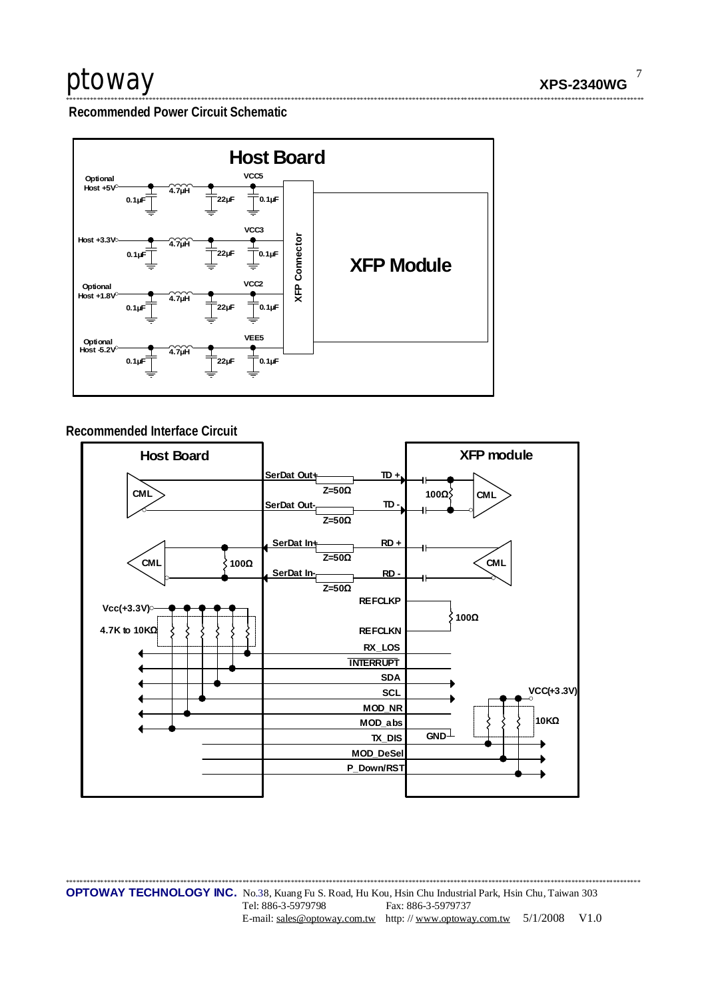Recommended Power Circuit Schematic



### Recommended Interface Circuit



**OPTOWAY TECHNOLOGY INC.** No.38, Kuang Fu S. Road, Hu Kou, Hsin Chu Industrial Park, Hsin Chu, Taiwan 303 Tel: 886-3-5979798 Fax: 886-3-5979737 E-mail: sales@optoway.com.tw http://www.optoway.com.tw 5/1/2008 V1.0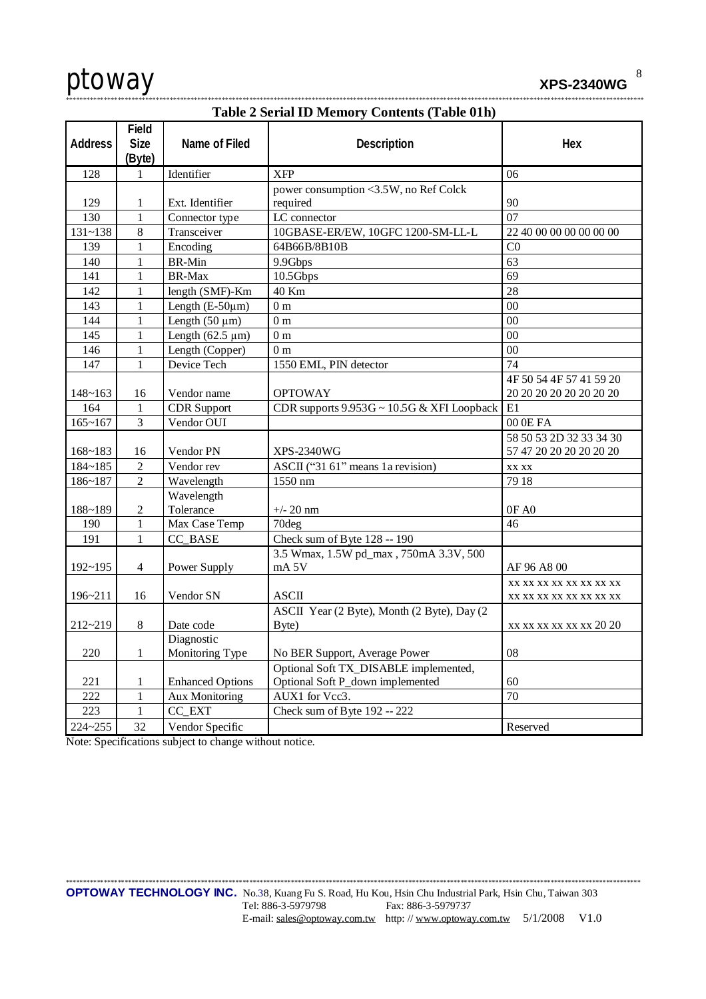

**XPS-2340WG** 

\*\*\*\*\*\*\*\*\*\*\*\*\*\*\*\*\*\*\*\*\*\*\*\*\*\*\*\*\*

| <b>Table 2 Serial ID Memory Contents (Table 01h)</b> |                        |                         |                                                   |                         |  |  |  |
|------------------------------------------------------|------------------------|-------------------------|---------------------------------------------------|-------------------------|--|--|--|
|                                                      | Field                  |                         |                                                   |                         |  |  |  |
| <b>Address</b>                                       | Size                   | Name of Filed           | Description                                       | Hex                     |  |  |  |
|                                                      | (Byte)<br>$\mathbf{1}$ | Identifier              | <b>XFP</b>                                        |                         |  |  |  |
| 128                                                  |                        |                         |                                                   | 06                      |  |  |  |
| 129                                                  | 1                      | Ext. Identifier         | power consumption <3.5W, no Ref Colck<br>required | 90                      |  |  |  |
| 130                                                  | $\mathbf{1}$           | Connector type          | LC connector                                      | 07                      |  |  |  |
| $131 - 138$                                          | $8\,$                  | Transceiver             | 10GBASE-ER/EW, 10GFC 1200-SM-LL-L                 | 22 40 00 00 00 00 00 00 |  |  |  |
| 139                                                  | $\mathbf{1}$           | Encoding                | 64B66B/8B10B                                      | C <sub>0</sub>          |  |  |  |
| 140                                                  | 1                      | <b>BR-Min</b>           | 9.9Gbps                                           | 63                      |  |  |  |
| 141                                                  | 1                      | BR-Max                  | 10.5Gbps                                          | 69                      |  |  |  |
| 142                                                  | 1                      | length (SMF)-Km         | 40 Km                                             | 28                      |  |  |  |
| 143                                                  | 1                      | Length $(E-50\mu m)$    | 0 <sub>m</sub>                                    | $00\,$                  |  |  |  |
| 144                                                  | 1                      | Length $(50 \mu m)$     | 0 <sub>m</sub>                                    | 00                      |  |  |  |
| 145                                                  | 1                      | Length $(62.5 \mu m)$   | $0\ {\rm m}$                                      | 00                      |  |  |  |
| 146                                                  | 1                      | Length (Copper)         | 0 <sub>m</sub>                                    | 00                      |  |  |  |
| 147                                                  | 1                      | Device Tech             | 1550 EML, PIN detector                            | 74                      |  |  |  |
|                                                      |                        |                         |                                                   | 4F 50 54 4F 57 41 59 20 |  |  |  |
| $148 - 163$                                          | 16                     | Vendor name             | <b>OPTOWAY</b>                                    | 20 20 20 20 20 20 20 20 |  |  |  |
| 164                                                  | 1                      | <b>CDR</b> Support      | CDR supports 9.953G ~ 10.5G & XFI Loopback        | E1                      |  |  |  |
| $165 - 167$                                          | 3                      | Vendor OUI              |                                                   | 00 0E FA                |  |  |  |
|                                                      |                        |                         |                                                   | 58 50 53 2D 32 33 34 30 |  |  |  |
| $168 - 183$                                          | 16                     | Vendor PN               | <b>XPS-2340WG</b>                                 | 57 47 20 20 20 20 20 20 |  |  |  |
| 184~185                                              | $\overline{2}$         | Vendor rev              | ASCII ("31 61" means 1a revision)                 | XX XX                   |  |  |  |
| 186~187                                              | $\overline{2}$         | Wavelength              | 1550 nm                                           | 79 18                   |  |  |  |
|                                                      |                        | Wavelength              |                                                   |                         |  |  |  |
| 188~189                                              | 2                      | Tolerance               | $+/- 20$ nm                                       | OF AO                   |  |  |  |
| 190                                                  | $\mathbf{1}$           | Max Case Temp           | 70deg                                             | 46                      |  |  |  |
| 191                                                  | 1                      | CC_BASE                 | Check sum of Byte 128 -- 190                      |                         |  |  |  |
|                                                      |                        |                         | 3.5 Wmax, 1.5W pd_max, 750mA 3.3V, 500            |                         |  |  |  |
| $192 - 195$                                          | 4                      | Power Supply            | mA <sub>5V</sub>                                  | AF 96 A8 00             |  |  |  |
|                                                      |                        |                         |                                                   | XX XX XX XX XX XX XX XX |  |  |  |
| 196~211                                              | 16                     | Vendor SN               | <b>ASCII</b>                                      | XX XX XX XX XX XX XX XX |  |  |  |
|                                                      |                        |                         | ASCII Year (2 Byte), Month (2 Byte), Day (2       |                         |  |  |  |
| 212~219                                              | 8                      | Date code               | Byte)                                             | xx xx xx xx xx xx 20 20 |  |  |  |
|                                                      |                        | Diagnostic              |                                                   |                         |  |  |  |
| 220                                                  | 1                      | Monitoring Type         | No BER Support, Average Power                     | 08                      |  |  |  |
|                                                      |                        |                         | Optional Soft TX DISABLE implemented,             |                         |  |  |  |
| 221                                                  | $\mathbf{1}$           | <b>Enhanced Options</b> | Optional Soft P_down implemented                  | 60                      |  |  |  |
| 222                                                  | $\mathbf{1}$           | <b>Aux Monitoring</b>   | AUX1 for Vcc3.                                    | 70                      |  |  |  |
| 223                                                  | 1                      | CC_EXT                  | Check sum of Byte 192 -- 222                      |                         |  |  |  |
| $224 - 255$                                          | 32                     | Vendor Specific         |                                                   | Reserved                |  |  |  |

Note: Specifications subject to change without notice.

8